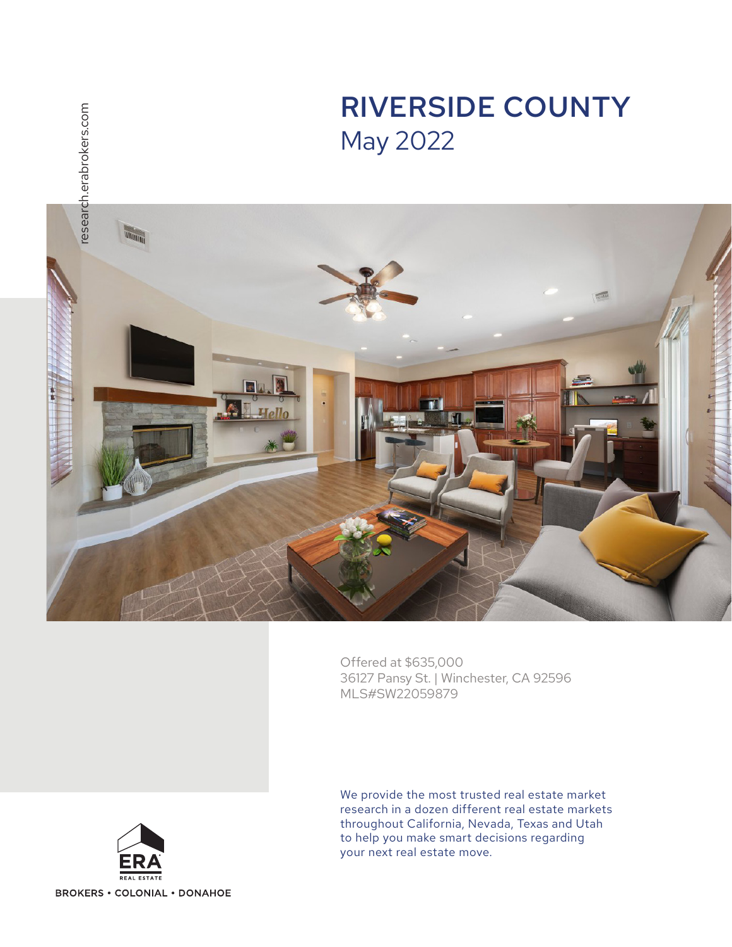

Offered at \$635,000 36127 Pansy St. | Winchester, CA 92596 MLS#SW22059879



We provide the most trusted real estate market research in a dozen different real estate markets throughout California, Nevada, Texas and Utah to help you make smart decisions regarding your next real estate move.